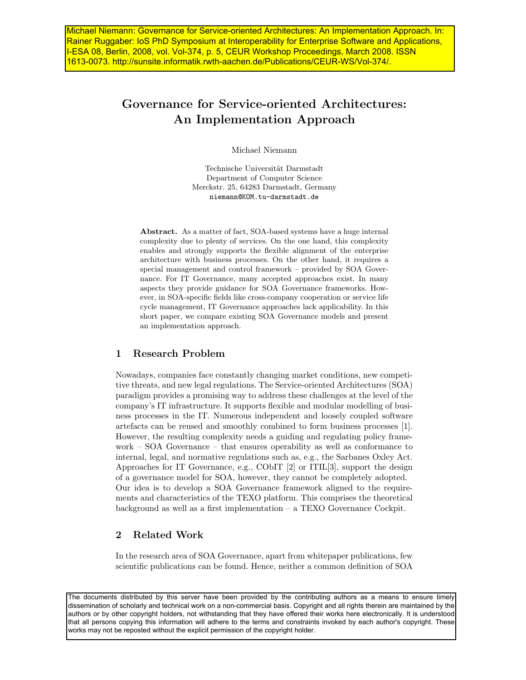Michael Niemann: Governance for Service-oriented Architectures: An Implementation Approach. In: Rainer Ruggaber: IoS PhD Symposium at Interoperability for Enterprise Software and Applications, I-ESA 08, Berlin, 2008, vol. Vol-374, p. 5, CEUR Workshop Proceedings, March 2008. ISSN 1613-0073. http://sunsite.informatik.rwth-aachen.de/Publications/CEUR-WS/Vol-374/.

# Governance for Service-oriented Architectures: An Implementation Approach

Michael Niemann

Technische Universität Darmstadt Department of Computer Science Merckstr. 25, 64283 Darmstadt, Germany niemann@KOM.tu-darmstadt.de

Abstract. As a matter of fact, SOA-based systems have a huge internal complexity due to plenty of services. On the one hand, this complexity enables and strongly supports the flexible alignment of the enterprise architecture with business processes. On the other hand, it requires a special management and control framework – provided by SOA Governance. For IT Governance, many accepted approaches exist. In many aspects they provide guidance for SOA Governance frameworks. However, in SOA-specific fields like cross-company cooperation or service life cycle management, IT Governance approaches lack applicability. In this short paper, we compare existing SOA Governance models and present an implementation approach.

## 1 Research Problem

Nowadays, companies face constantly changing market conditions, new competitive threats, and new legal regulations. The Service-oriented Architectures (SOA) paradigm provides a promising way to address these challenges at the level of the company's IT infrastructure. It supports flexible and modular modelling of business processes in the IT. Numerous independent and loosely coupled software artefacts can be reused and smoothly combined to form business processes [1]. However, the resulting complexity needs a guiding and regulating policy framework – SOA Governance – that ensures operability as well as conformance to internal, legal, and normative regulations such as, e.g., the Sarbanes Oxley Act. Approaches for IT Governance, e.g., CObIT [2] or ITIL[3], support the design of a governance model for SOA, however, they cannot be completely adopted. Our idea is to develop a SOA Governance framework aligned to the requirements and characteristics of the TEXO platform. This comprises the theoretical background as well as a first implementation – a TEXO Governance Cockpit.

### 2 Related Work

In the research area of SOA Governance, apart from whitepaper publications, few scientific publications can be found. Hence, neither a common definition of SOA

The documents distributed by this server have been provided by the contributing authors as a means to ensure timely dissemination of scholarly and technical work on a non-commercial basis. Copyright and all rights therein are maintained by the authors or by other copyright holders, not withstanding that they have offered their works here electronically. It is understood that all persons copying this information will adhere to the terms and constraints invoked by each author's copyright. These works may not be reposted without the explicit permission of the copyright holder.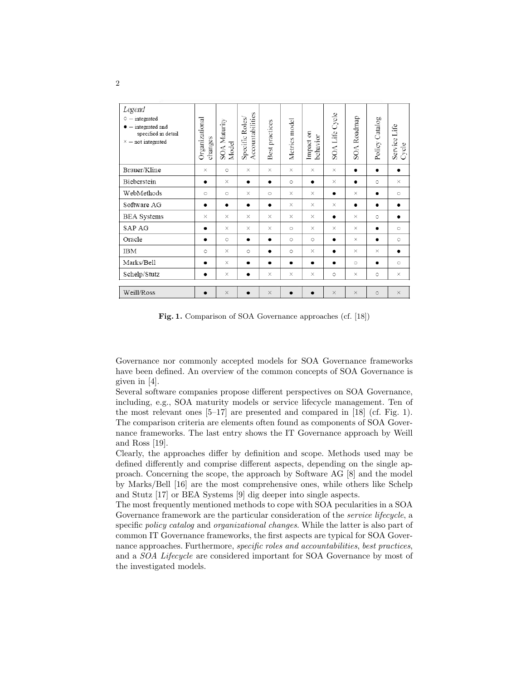| Legend<br>$\circ$ - integrated<br>$\bullet$ - integrated and<br>specified in detail<br>$\times$ - not integrated | Organizational<br>changes | <b>SOA</b> Maturity<br>Model | Accountabilities<br>Specific Roles | Best practices | Metrics model | Impact on<br>behavior | SOA Life Cycle | SOA Roadmap | Policy Catalog | Service Life<br>Cycle |
|------------------------------------------------------------------------------------------------------------------|---------------------------|------------------------------|------------------------------------|----------------|---------------|-----------------------|----------------|-------------|----------------|-----------------------|
| Brauer/Kline                                                                                                     | $\times$                  | $\circ$                      | $\times$                           | $\times$       | $\times$      | $\times$              | $\times$       | $\bullet$   | $\bullet$      |                       |
| Bieberstein                                                                                                      | $\bullet$                 | $\times$                     | $\bullet$                          | $\bullet$      | $\circ$       | $\bullet$             | $\times$       |             | $\circ$        | $\times$              |
| WebMethods                                                                                                       | $\circ$                   | $\circ$                      | $\times$                           | $\circ$        | $\times$      | $\times$              | $\bullet$      | $\times$    | $\bullet$      | $\circ$               |
| Software AG                                                                                                      | $\bullet$                 | ٠                            | $\bullet$                          | ٠              | X             | ×                     | $\times$       | ٠           | $\bullet$      |                       |
| <b>BEA</b> Systems                                                                                               | $\times$                  | $\times$                     | $\times$                           | X              | X             | $\times$              | $\bullet$      | X           | $\circ$        | $\bullet$             |
| SAP AG                                                                                                           | $\bullet$                 | $\times$                     | X                                  | X              | $\circ$       | X                     | $\times$       | X           | ٠              | $\circ$               |
| Oracle                                                                                                           | ٠                         | $\circ$                      | $\bullet$                          | ٠              | $\circ$       | $\circ$               | $\bullet$      | X           | ٠              | $\circ$               |
| <b>IBM</b>                                                                                                       | $\circ$                   | $\times$                     | $\circ$                            |                | $\circ$       | X                     |                | $\times$    | $\times$       |                       |
| Marks/Bell                                                                                                       | $\bullet$                 | $\times$                     | $\bullet$                          | $\bullet$      |               | $\bullet$             |                | $\circ$     | $\bullet$      | $\circ$               |
| Schelp/Stutz                                                                                                     | ٠                         | ×                            | $\bullet$                          | $\times$       | $\times$      | $\times$              | $\circ$        | $\times$    | $\circ$        | ×                     |
| Weill/Ross                                                                                                       | $\bullet$                 | $\times$                     | $\bullet$                          | $\times$       | $\bullet$     |                       | $\times$       | $\times$    | $\circ$        | $\times$              |

Fig. 1. Comparison of SOA Governance approaches (cf. [18])

Governance nor commonly accepted models for SOA Governance frameworks have been defined. An overview of the common concepts of SOA Governance is given in [4].

Several software companies propose different perspectives on SOA Governance, including, e.g., SOA maturity models or service lifecycle management. Ten of the most relevant ones  $[5-17]$  are presented and compared in  $[18]$  (cf. Fig. 1). The comparison criteria are elements often found as components of SOA Governance frameworks. The last entry shows the IT Governance approach by Weill and Ross [19].

Clearly, the approaches differ by definition and scope. Methods used may be defined differently and comprise different aspects, depending on the single approach. Concerning the scope, the approach by Software AG [8] and the model by Marks/Bell [16] are the most comprehensive ones, while others like Schelp and Stutz [17] or BEA Systems [9] dig deeper into single aspects.

The most frequently mentioned methods to cope with SOA pecularities in a SOA Governance framework are the particular consideration of the *service lifecycle*, a specific *policy catalog* and *organizational changes*. While the latter is also part of common IT Governance frameworks, the first aspects are typical for SOA Governance approaches. Furthermore, specific roles and accountabilities, best practices, and a SOA Lifecycle are considered important for SOA Governance by most of the investigated models.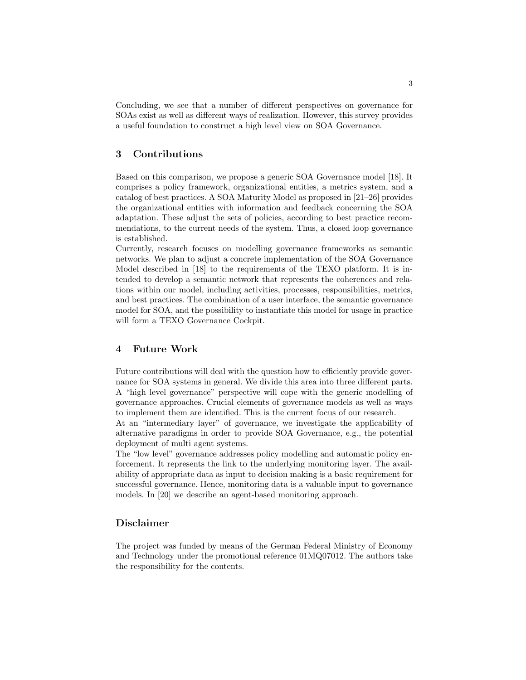Concluding, we see that a number of different perspectives on governance for SOAs exist as well as different ways of realization. However, this survey provides a useful foundation to construct a high level view on SOA Governance.

#### 3 Contributions

Based on this comparison, we propose a generic SOA Governance model [18]. It comprises a policy framework, organizational entities, a metrics system, and a catalog of best practices. A SOA Maturity Model as proposed in [21–26] provides the organizational entities with information and feedback concerning the SOA adaptation. These adjust the sets of policies, according to best practice recommendations, to the current needs of the system. Thus, a closed loop governance is established.

Currently, research focuses on modelling governance frameworks as semantic networks. We plan to adjust a concrete implementation of the SOA Governance Model described in [18] to the requirements of the TEXO platform. It is intended to develop a semantic network that represents the coherences and relations within our model, including activities, processes, responsibilities, metrics, and best practices. The combination of a user interface, the semantic governance model for SOA, and the possibility to instantiate this model for usage in practice will form a TEXO Governance Cockpit.

#### 4 Future Work

Future contributions will deal with the question how to efficiently provide governance for SOA systems in general. We divide this area into three different parts. A "high level governance" perspective will cope with the generic modelling of governance approaches. Crucial elements of governance models as well as ways to implement them are identified. This is the current focus of our research.

At an "intermediary layer" of governance, we investigate the applicability of alternative paradigms in order to provide SOA Governance, e.g., the potential deployment of multi agent systems.

The "low level" governance addresses policy modelling and automatic policy enforcement. It represents the link to the underlying monitoring layer. The availability of appropriate data as input to decision making is a basic requirement for successful governance. Hence, monitoring data is a valuable input to governance models. In [20] we describe an agent-based monitoring approach.

### Disclaimer

The project was funded by means of the German Federal Ministry of Economy and Technology under the promotional reference 01MQ07012. The authors take the responsibility for the contents.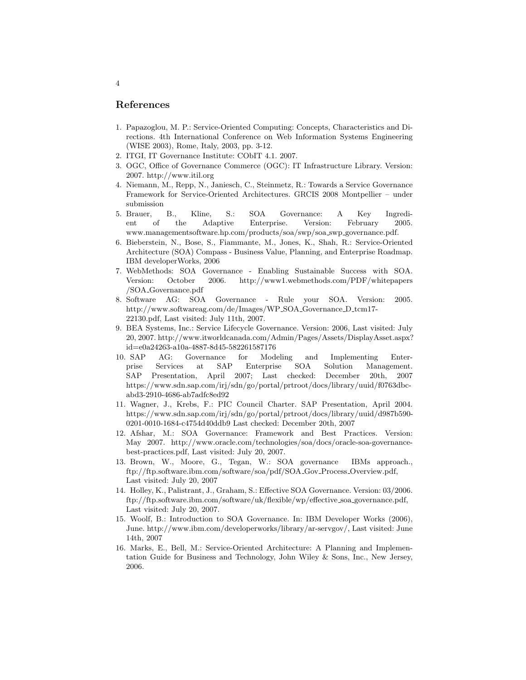#### References

- 1. Papazoglou, M. P.: Service-Oriented Computing: Concepts, Characteristics and Directions. 4th International Conference on Web Information Systems Engineering (WISE 2003), Rome, Italy, 2003, pp. 3-12.
- 2. ITGI, IT Governance Institute: CObIT 4.1. 2007.
- 3. OGC, Office of Governance Commerce (OGC): IT Infrastructure Library. Version: 2007. http://www.itil.org
- 4. Niemann, M., Repp, N., Janiesch, C., Steinmetz, R.: Towards a Service Governance Framework for Service-Oriented Architectures. GRCIS 2008 Montpellier – under submission
- 5. Brauer, B., Kline, S.: SOA Governance: A Key Ingredient of the Adaptive Enterprise. Version: February 2005. www.managementsoftware.hp.com/products/soa/swp/soa swp governance.pdf.
- 6. Bieberstein, N., Bose, S., Fiammante, M., Jones, K., Shah, R.: Service-Oriented Architecture (SOA) Compass - Business Value, Planning, and Enterprise Roadmap. IBM developerWorks, 2006
- 7. WebMethods: SOA Governance Enabling Sustainable Success with SOA. Version: October 2006. http://www1.webmethods.com/PDF/whitepapers /SOA Governance.pdf
- 8. Software AG: SOA Governance Rule your SOA. Version: 2005. http://www.softwareag.com/de/Images/WP SOA Governance D tcm17- 22130.pdf, Last visited: July 11th, 2007.
- 9. BEA Systems, Inc.: Service Lifecycle Governance. Version: 2006, Last visited: July 20, 2007. http://www.itworldcanada.com/Admin/Pages/Assets/DisplayAsset.aspx? id=e0a24263-a10a-4887-8d45-582261587176
- 10. SAP AG: Governance for Modeling and Implementing Enterprise Services at SAP Enterprise SOA Solution Management. SAP Presentation, April 2007; Last checked: December 20th, 2007 https://www.sdn.sap.com/irj/sdn/go/portal/prtroot/docs/library/uuid/f0763dbcabd3-2910-4686-ab7adfc8ed92
- 11. Wagner, J., Krebs, F.: PIC Council Charter. SAP Presentation, April 2004. https://www.sdn.sap.com/irj/sdn/go/portal/prtroot/docs/library/uuid/d987b590- 0201-0010-1684-c4754d40ddb9 Last checked: December 20th, 2007
- 12. Afshar, M.: SOA Governance: Framework and Best Practices. Version: May 2007. http://www.oracle.com/technologies/soa/docs/oracle-soa-governancebest-practices.pdf, Last visited: July 20, 2007.
- 13. Brown, W., Moore, G., Tegan, W.: SOA governance IBMs approach., ftp://ftp.software.ibm.com/software/soa/pdf/SOA Gov Process Overview.pdf, Last visited: July 20, 2007
- 14. Holley, K., Palistrant, J., Graham, S.: Effective SOA Governance. Version: 03/2006. ftp://ftp.software.ibm.com/software/uk/flexible/wp/effective soa governance.pdf, Last visited: July 20, 2007.
- 15. Woolf, B.: Introduction to SOA Governance. In: IBM Developer Works (2006), June. http://www.ibm.com/developerworks/library/ar-servgov/, Last visited: June 14th, 2007
- 16. Marks, E., Bell, M.: Service-Oriented Architecture: A Planning and Implementation Guide for Business and Technology, John Wiley & Sons, Inc., New Jersey, 2006.

4